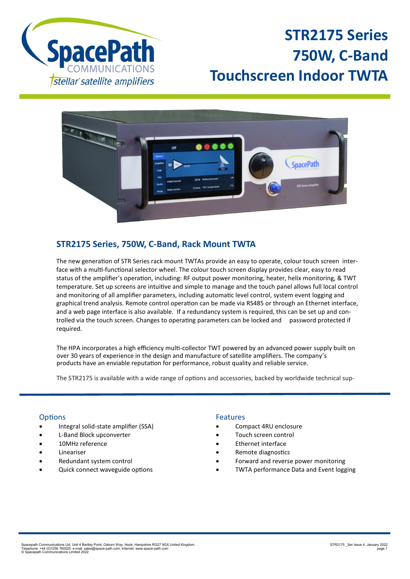

# **STR2175 Series 750W, C-Band Touchscreen Indoor TWTA**



# **STR2175 Series, 750W, C-Band, Rack Mount TWTA**

The new generation of STR Series rack mount TWTAs provide an easy to operate, colour touch screen interface with a multi-functional selector wheel. The colour touch screen display provides clear, easy to read status of the amplifier's operation, including: RF output power monitoring, heater, helix monitoring, & TWT temperature. Set up screens are intuitive and simple to manage and the touch panel allows full local control and monitoring of all amplifier parameters, including automatic level control, system event logging and graphical trend analysis. Remote control operation can be made via RS485 or through an Ethernet interface, and a web page interface is also available. If a redundancy system is required, this can be set up and controlled via the touch screen. Changes to operating parameters can be locked and password protected if required.

The HPA incorporates a high efficiency multi-collector TWT powered by an advanced power supply built on over 30 years of experience in the design and manufacture of satellite amplifiers. The company's products have an enviable reputation for performance, robust quality and reliable service.

The STR2175 is available with a wide range of options and accessories, backed by worldwide technical sup-

# **Options**

- Integral solid-state amplifier (SSA)
- L-Band Block upconverter
- 10MHz reference
- **Lineariser**
- Redundant system control
- Quick connect waveguide options

# Features

- Compact 4RU enclosure
- Touch screen control
- Ethernet interface
- Remote diagnostics
- Forward and reverse power monitoring
- TWTA performance Data and Event logging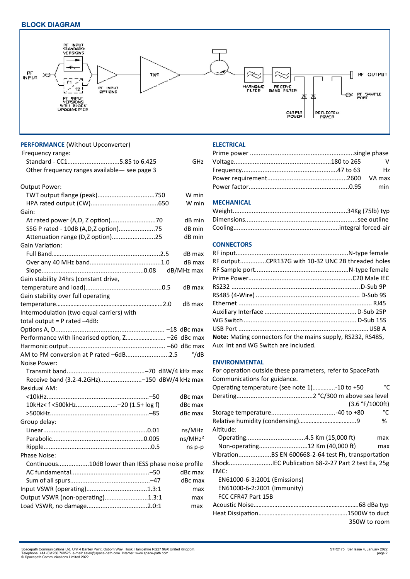

| <b>PERFORMANCE (Without Upconverter)</b>                                 |                     |
|--------------------------------------------------------------------------|---------------------|
| Frequency range:                                                         |                     |
| Standard - CC15.85 to 6.425                                              | GHz                 |
| Other frequency ranges available- see page 3                             |                     |
|                                                                          |                     |
| Output Power:                                                            |                     |
|                                                                          | W min               |
|                                                                          | W min               |
| Gain:                                                                    |                     |
|                                                                          | dB min              |
| SSG P rated - 10dB (A, D, Z option)75                                    | dB min              |
| Attenuation range (D,Z option)25                                         | dB min              |
| Gain Variation:                                                          |                     |
|                                                                          | dB max              |
|                                                                          | dB max              |
|                                                                          | dB/MHz max          |
| Gain stability 24hrs (constant drive,                                    |                     |
|                                                                          | dB max              |
| Gain stability over full operating                                       |                     |
|                                                                          | dB max              |
| Intermodulation (two equal carriers) with                                |                     |
| total output = $P$ rated $-4dB$ :                                        |                     |
|                                                                          |                     |
| Performance with linearised option, Z -26 dBc max                        |                     |
|                                                                          |                     |
| AM to PM conversion at P rated -6dB2.5                                   | °/dB                |
| Noise Power:                                                             |                     |
|                                                                          |                     |
| Receive band (3.2-4.2GHz)-150 dBW/4 kHz max                              |                     |
| Residual AM:                                                             |                     |
|                                                                          | dBc max             |
| 10kHz <f (1.5+="" <500khz-20="" f)<="" log="" td=""><td>dBc max</td></f> | dBc max             |
|                                                                          | dBc max             |
| Group delay:                                                             |                     |
|                                                                          | ns/MHz              |
|                                                                          | ns/MHz <sup>2</sup> |
|                                                                          |                     |
|                                                                          | ns p-p              |
| <b>Phase Noise:</b>                                                      |                     |
| Continuous10dB lower than IESS phase noise profile                       |                     |
|                                                                          | dBc max             |
|                                                                          | dBc max             |
|                                                                          | max                 |
| Output VSWR (non-operating)1.3:1                                         | max                 |
|                                                                          | max                 |
|                                                                          |                     |
|                                                                          |                     |

# **ELECTRICAL**

| $\mathsf{V}$ |
|--------------|
| <b>Hz</b>    |
|              |
|              |

# **MECHANICAL**

# **CONNECTORS**

| RF outputCPR137G with 10-32 UNC 2B threaded holes                  |  |
|--------------------------------------------------------------------|--|
|                                                                    |  |
|                                                                    |  |
|                                                                    |  |
|                                                                    |  |
|                                                                    |  |
|                                                                    |  |
|                                                                    |  |
|                                                                    |  |
| <b>Note:</b> Mating connectors for the mains supply, RS232, RS485, |  |
| Aux Int and WG Switch are included.                                |  |

## **ENVIRONMENTAL**

For operation outside these parameters, refer to SpacePath Communications for guidance. Operating temperature (see note 1)…………..-10 to +50 °C Derating............................................2 °C/300 m above sea level (3.6 °F/1000ft) Storage temperature.....................................-40 to +80 °C Relative humidity (condensing)……………………………...9 % Altitude: Operating..................................4.5 Km (15,000 ft) max Non-operating............................12 Km (40,000 ft) max Vibration...................BS EN 600668-2-64 test Fh, transportation Shock.........................IEC Publication 68-2-27 Part 2 test Ea, 25g EMC: EN61000-6-3:2001 (Emissions) EN61000-6-2:2001 (Immunity) FCC CFR47 Part 15B Acoustic Noise……………..………………………………………….68 dBa typ Heat Dissipation………………………………………………..1500W to duct 350W to room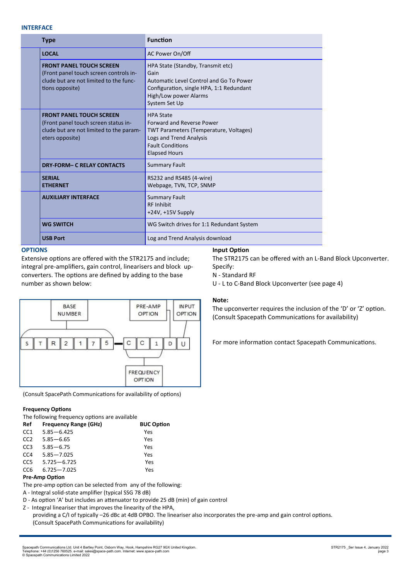# **INTERFACE**

|  | <b>Type</b>                                                                                                                            | <b>Function</b>                                                                                                                                                                     |
|--|----------------------------------------------------------------------------------------------------------------------------------------|-------------------------------------------------------------------------------------------------------------------------------------------------------------------------------------|
|  | <b>LOCAL</b>                                                                                                                           | AC Power On/Off                                                                                                                                                                     |
|  | <b>FRONT PANEL TOUCH SCREEN</b><br>(Front panel touch screen controls in-<br>clude but are not limited to the func-<br>tions opposite) | HPA State (Standby, Transmit etc)<br>Gain<br>Automatic Level Control and Go To Power<br>Configuration, single HPA, 1:1 Redundant<br>High/Low power Alarms<br>System Set Up          |
|  | <b>FRONT PANEL TOUCH SCREEN</b><br>(Front panel touch screen status in-<br>clude but are not limited to the param-<br>eters opposite)  | <b>HPA State</b><br><b>Forward and Reverse Power</b><br><b>TWT Parameters (Temperature, Voltages)</b><br>Logs and Trend Analysis<br><b>Fault Conditions</b><br><b>Elapsed Hours</b> |
|  | <b>DRY-FORM- C RELAY CONTACTS</b>                                                                                                      | <b>Summary Fault</b>                                                                                                                                                                |
|  | <b>SERIAL</b><br><b>ETHERNET</b>                                                                                                       | RS232 and RS485 (4-wire)<br>Webpage, TVN, TCP, SNMP                                                                                                                                 |
|  | <b>AUXILIARY INTERFACE</b>                                                                                                             | <b>Summary Fault</b><br><b>RF Inhibit</b><br>$+24V$ , $+15V$ Supply                                                                                                                 |
|  | <b>WG SWITCH</b>                                                                                                                       | WG Switch drives for 1:1 Redundant System                                                                                                                                           |
|  | <b>USB Port</b>                                                                                                                        | Log and Trend Analysis download                                                                                                                                                     |

# **OPTIONS**

Extensive options are offered with the STR2175 and include; integral pre-amplifiers, gain control, linearisers and block upconverters. The options are defined by adding to the base number as shown below:

#### **IN PUT BASE** PRE-AMP **OPTION NUMBER OPTION**  $\overline{R}$  $\overline{c}$  $\overline{1}$ 5 C C s  $\mathsf{T}$  $\overline{7}$  $\mathbf{1}$ D  $\cup$ **FREQUENCY OPTION**

(Consult SpacePath Communications for availability of options)

# **Frequency Options**

The following frequency options are available

| <b>Frequency Range (GHz)</b> | <b>BUC Option</b> |
|------------------------------|-------------------|
| $5.85 - 6.425$               | Yes               |
| $5.85 - 6.65$                | Yes               |
| $5.85 - 6.75$                | Yes               |
| $5.85 - 7.025$               | Yes               |
| $5.725 - 6.725$              | Yes               |
| $6.725 - 7.025$              | Yes               |
|                              |                   |

# **Pre-Amp Option**

The pre-amp option can be selected from any of the following:

- A Integral solid-state amplifier (typical SSG 78 dB)
- D As option 'A' but includes an attenuator to provide 25 dB (min) of gain control
- Z Integral lineariser that improves the linearity of the HPA,

providing a C/I of typically –26 dBc at 4dB OPBO. The lineariser also incorporates the pre-amp and gain control options. (Consult SpacePath Communications for availability)

# **Input Option**

The STR2175 can be offered with an L-Band Block Upconverter. Specify: N - Standard RF

U - L to C-Band Block Upconverter (see page 4)

### **Note:**

The upconverter requires the inclusion of the 'D' or 'Z' option. (Consult Spacepath Communications for availability)

For more information contact Spacepath Communications.